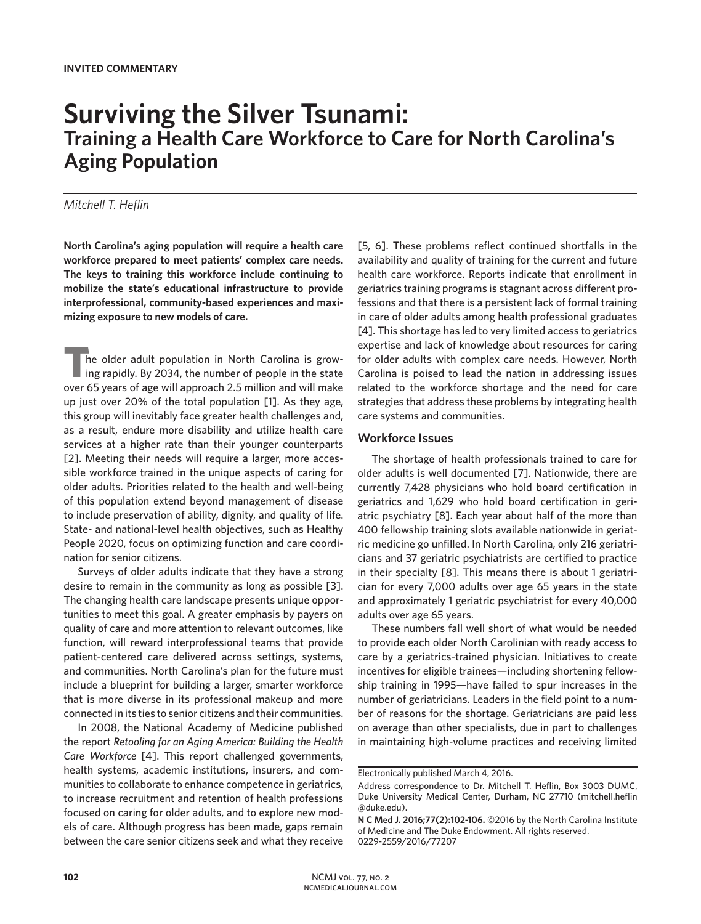# **Surviving the Silver Tsunami: Training a Health Care Workforce to Care for North Carolina's Aging Population**

#### *Mitchell T. Heflin*

**North Carolina's aging population will require a health care workforce prepared to meet patients' complex care needs. The keys to training this workforce include continuing to mobilize the state's educational infrastructure to provide interprofessional, community-based experiences and maximizing exposure to new models of care.**

The older adult population in North Carolina is grow-<br>
ing rapidly. By 2034, the number of people in the state over 65 years of age will approach 2.5 million and will make up just over 20% of the total population [1]. As they age, this group will inevitably face greater health challenges and, as a result, endure more disability and utilize health care services at a higher rate than their younger counterparts [2]. Meeting their needs will require a larger, more accessible workforce trained in the unique aspects of caring for older adults. Priorities related to the health and well-being of this population extend beyond management of disease to include preservation of ability, dignity, and quality of life. State- and national-level health objectives, such as Healthy People 2020, focus on optimizing function and care coordination for senior citizens.

Surveys of older adults indicate that they have a strong desire to remain in the community as long as possible [3]. The changing health care landscape presents unique opportunities to meet this goal. A greater emphasis by payers on quality of care and more attention to relevant outcomes, like function, will reward interprofessional teams that provide patient-centered care delivered across settings, systems, and communities. North Carolina's plan for the future must include a blueprint for building a larger, smarter workforce that is more diverse in its professional makeup and more connected in its ties to senior citizens and their communities.

In 2008, the National Academy of Medicine published the report *Retooling for an Aging America: Building the Health Care Workforce* [4]. This report challenged governments, health systems, academic institutions, insurers, and communities to collaborate to enhance competence in geriatrics, to increase recruitment and retention of health professions focused on caring for older adults, and to explore new models of care. Although progress has been made, gaps remain between the care senior citizens seek and what they receive [5, 6]. These problems reflect continued shortfalls in the availability and quality of training for the current and future health care workforce. Reports indicate that enrollment in geriatrics training programs is stagnant across different professions and that there is a persistent lack of formal training in care of older adults among health professional graduates [4]. This shortage has led to very limited access to geriatrics expertise and lack of knowledge about resources for caring for older adults with complex care needs. However, North Carolina is poised to lead the nation in addressing issues related to the workforce shortage and the need for care strategies that address these problems by integrating health care systems and communities.

#### **Workforce Issues**

The shortage of health professionals trained to care for older adults is well documented [7]. Nationwide, there are currently 7,428 physicians who hold board certification in geriatrics and 1,629 who hold board certification in geriatric psychiatry [8]. Each year about half of the more than 400 fellowship training slots available nationwide in geriatric medicine go unfilled. In North Carolina, only 216 geriatricians and 37 geriatric psychiatrists are certified to practice in their specialty [8]. This means there is about 1 geriatrician for every 7,000 adults over age 65 years in the state and approximately 1 geriatric psychiatrist for every 40,000 adults over age 65 years.

These numbers fall well short of what would be needed to provide each older North Carolinian with ready access to care by a geriatrics-trained physician. Initiatives to create incentives for eligible trainees—including shortening fellowship training in 1995—have failed to spur increases in the number of geriatricians. Leaders in the field point to a number of reasons for the shortage. Geriatricians are paid less on average than other specialists, due in part to challenges in maintaining high-volume practices and receiving limited

Electronically published March 4, 2016.

Address correspondence to Dr. Mitchell T. Heflin, Box 3003 DUMC, Duke University Medical Center, Durham, NC 27710 (mitchell.heflin @duke.edu).

**N C Med J. 2016;77(2):102-106.** ©2016 by the North Carolina Institute of Medicine and The Duke Endowment. All rights reserved. 0229-2559/2016/77207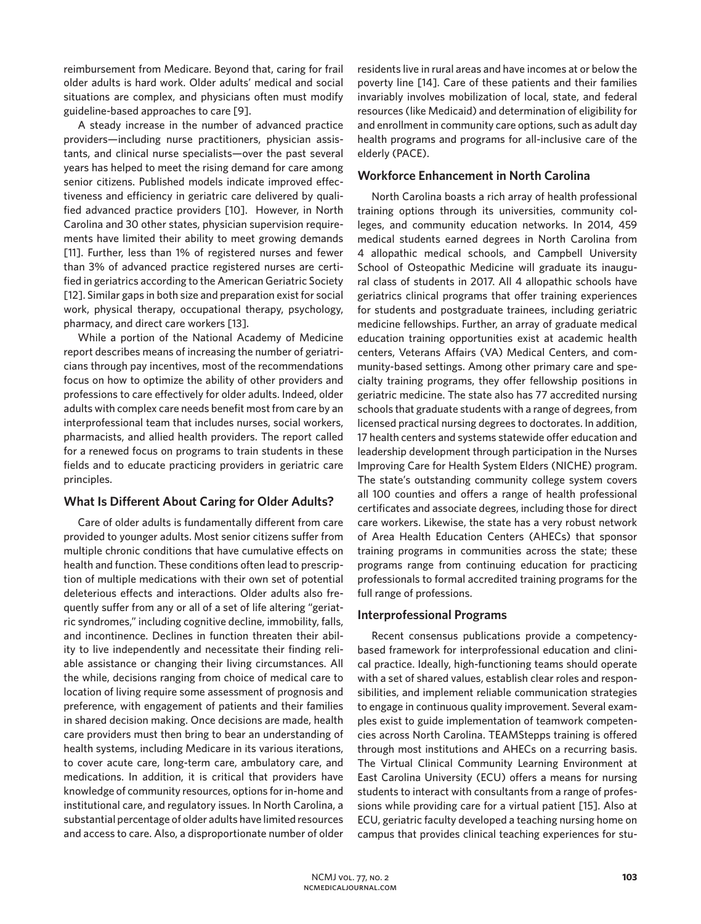reimbursement from Medicare. Beyond that, caring for frail older adults is hard work. Older adults' medical and social situations are complex, and physicians often must modify guideline-based approaches to care [9].

A steady increase in the number of advanced practice providers—including nurse practitioners, physician assistants, and clinical nurse specialists—over the past several years has helped to meet the rising demand for care among senior citizens. Published models indicate improved effectiveness and efficiency in geriatric care delivered by qualified advanced practice providers [10]. However, in North Carolina and 30 other states, physician supervision requirements have limited their ability to meet growing demands [11]. Further, less than 1% of registered nurses and fewer than 3% of advanced practice registered nurses are certified in geriatrics according to the American Geriatric Society [12]. Similar gaps in both size and preparation exist for social work, physical therapy, occupational therapy, psychology, pharmacy, and direct care workers [13].

While a portion of the National Academy of Medicine report describes means of increasing the number of geriatricians through pay incentives, most of the recommendations focus on how to optimize the ability of other providers and professions to care effectively for older adults. Indeed, older adults with complex care needs benefit most from care by an interprofessional team that includes nurses, social workers, pharmacists, and allied health providers. The report called for a renewed focus on programs to train students in these fields and to educate practicing providers in geriatric care principles.

### **What Is Different About Caring for Older Adults?**

Care of older adults is fundamentally different from care provided to younger adults. Most senior citizens suffer from multiple chronic conditions that have cumulative effects on health and function. These conditions often lead to prescription of multiple medications with their own set of potential deleterious effects and interactions. Older adults also frequently suffer from any or all of a set of life altering "geriatric syndromes," including cognitive decline, immobility, falls, and incontinence. Declines in function threaten their ability to live independently and necessitate their finding reliable assistance or changing their living circumstances. All the while, decisions ranging from choice of medical care to location of living require some assessment of prognosis and preference, with engagement of patients and their families in shared decision making. Once decisions are made, health care providers must then bring to bear an understanding of health systems, including Medicare in its various iterations, to cover acute care, long-term care, ambulatory care, and medications. In addition, it is critical that providers have knowledge of community resources, options for in-home and institutional care, and regulatory issues. In North Carolina, a substantial percentage of older adults have limited resources and access to care. Also, a disproportionate number of older

residents live in rural areas and have incomes at or below the poverty line [14]. Care of these patients and their families invariably involves mobilization of local, state, and federal resources (like Medicaid) and determination of eligibility for and enrollment in community care options, such as adult day health programs and programs for all-inclusive care of the elderly (PACE).

## **Workforce Enhancement in North Carolina**

North Carolina boasts a rich array of health professional training options through its universities, community colleges, and community education networks. In 2014, 459 medical students earned degrees in North Carolina from 4 allopathic medical schools, and Campbell University School of Osteopathic Medicine will graduate its inaugural class of students in 2017. All 4 allopathic schools have geriatrics clinical programs that offer training experiences for students and postgraduate trainees, including geriatric medicine fellowships. Further, an array of graduate medical education training opportunities exist at academic health centers, Veterans Affairs (VA) Medical Centers, and community-based settings. Among other primary care and specialty training programs, they offer fellowship positions in geriatric medicine. The state also has 77 accredited nursing schools that graduate students with a range of degrees, from licensed practical nursing degrees to doctorates. In addition, 17 health centers and systems statewide offer education and leadership development through participation in the Nurses Improving Care for Health System Elders (NICHE) program. The state's outstanding community college system covers all 100 counties and offers a range of health professional certificates and associate degrees, including those for direct care workers. Likewise, the state has a very robust network of Area Health Education Centers (AHECs) that sponsor training programs in communities across the state; these programs range from continuing education for practicing professionals to formal accredited training programs for the full range of professions.

### **Interprofessional Programs**

Recent consensus publications provide a competencybased framework for interprofessional education and clinical practice. Ideally, high-functioning teams should operate with a set of shared values, establish clear roles and responsibilities, and implement reliable communication strategies to engage in continuous quality improvement. Several examples exist to guide implementation of teamwork competencies across North Carolina. TEAMStepps training is offered through most institutions and AHECs on a recurring basis. The Virtual Clinical Community Learning Environment at East Carolina University (ECU) offers a means for nursing students to interact with consultants from a range of professions while providing care for a virtual patient [15]. Also at ECU, geriatric faculty developed a teaching nursing home on campus that provides clinical teaching experiences for stu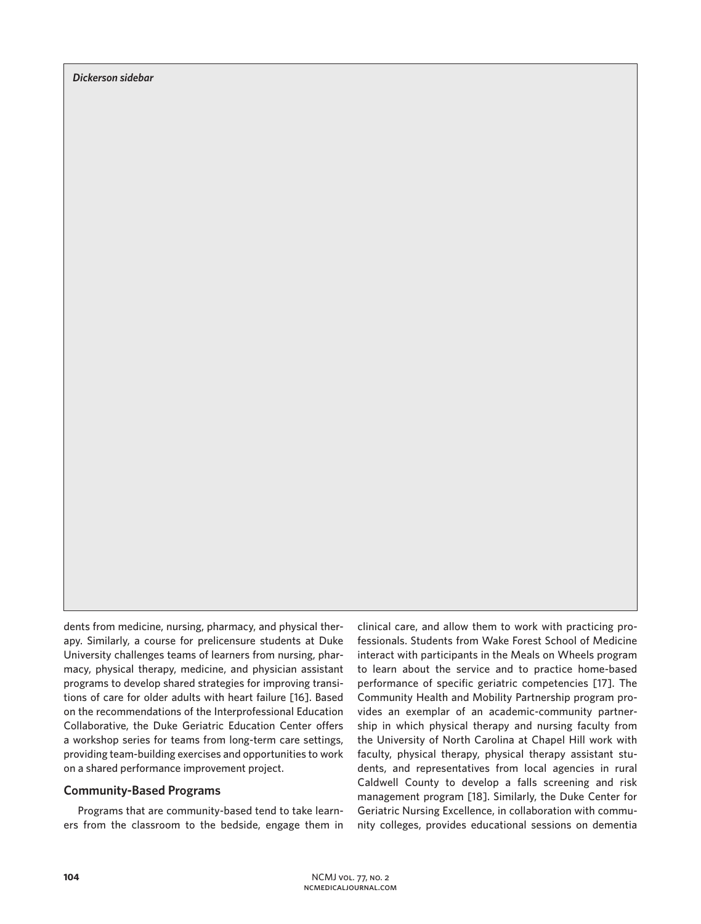*Dickerson sidebar*

dents from medicine, nursing, pharmacy, and physical therapy. Similarly, a course for prelicensure students at Duke University challenges teams of learners from nursing, pharmacy, physical therapy, medicine, and physician assistant programs to develop shared strategies for improving transitions of care for older adults with heart failure [16]. Based on the recommendations of the Interprofessional Education Collaborative, the Duke Geriatric Education Center offers a workshop series for teams from long-term care settings, providing team-building exercises and opportunities to work on a shared performance improvement project.

#### **Community-Based Programs**

Programs that are community-based tend to take learners from the classroom to the bedside, engage them in

clinical care, and allow them to work with practicing professionals. Students from Wake Forest School of Medicine interact with participants in the Meals on Wheels program to learn about the service and to practice home-based performance of specific geriatric competencies [17]. The Community Health and Mobility Partnership program provides an exemplar of an academic-community partnership in which physical therapy and nursing faculty from the University of North Carolina at Chapel Hill work with faculty, physical therapy, physical therapy assistant students, and representatives from local agencies in rural Caldwell County to develop a falls screening and risk management program [18]. Similarly, the Duke Center for Geriatric Nursing Excellence, in collaboration with community colleges, provides educational sessions on dementia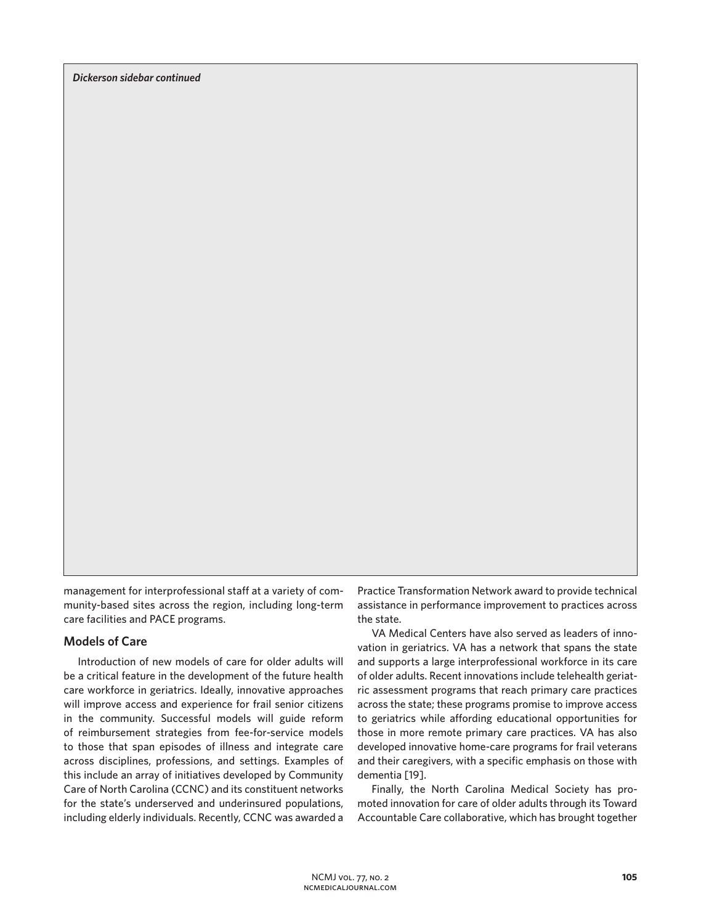*Dickerson sidebar continued*

management for interprofessional staff at a variety of community-based sites across the region, including long-term care facilities and PACE programs.

#### **Models of Care**

Introduction of new models of care for older adults will be a critical feature in the development of the future health care workforce in geriatrics. Ideally, innovative approaches will improve access and experience for frail senior citizens in the community. Successful models will guide reform of reimbursement strategies from fee-for-service models to those that span episodes of illness and integrate care across disciplines, professions, and settings. Examples of this include an array of initiatives developed by Community Care of North Carolina (CCNC) and its constituent networks for the state's underserved and underinsured populations, including elderly individuals. Recently, CCNC was awarded a Practice Transformation Network award to provide technical assistance in performance improvement to practices across the state.

VA Medical Centers have also served as leaders of innovation in geriatrics. VA has a network that spans the state and supports a large interprofessional workforce in its care of older adults. Recent innovations include telehealth geriatric assessment programs that reach primary care practices across the state; these programs promise to improve access to geriatrics while affording educational opportunities for those in more remote primary care practices. VA has also developed innovative home-care programs for frail veterans and their caregivers, with a specific emphasis on those with dementia [19].

Finally, the North Carolina Medical Society has promoted innovation for care of older adults through its Toward Accountable Care collaborative, which has brought together